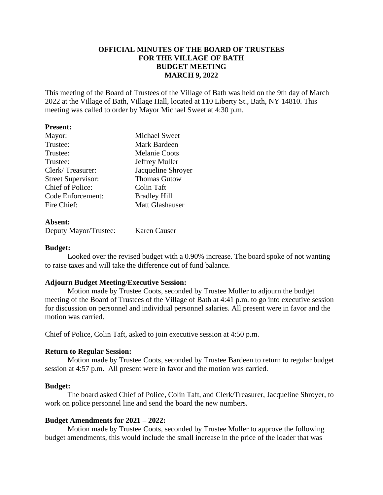# **OFFICIAL MINUTES OF THE BOARD OF TRUSTEES FOR THE VILLAGE OF BATH BUDGET MEETING MARCH 9, 2022**

This meeting of the Board of Trustees of the Village of Bath was held on the 9th day of March 2022 at the Village of Bath, Village Hall, located at 110 Liberty St., Bath, NY 14810. This meeting was called to order by Mayor Michael Sweet at 4:30 p.m.

| <b>Present:</b>           |                        |
|---------------------------|------------------------|
| Mayor:                    | <b>Michael Sweet</b>   |
| Trustee:                  | Mark Bardeen           |
| Trustee:                  | <b>Melanie Coots</b>   |
| Trustee:                  | Jeffrey Muller         |
| Clerk/Treasurer:          | Jacqueline Shroyer     |
| <b>Street Supervisor:</b> | <b>Thomas Gutow</b>    |
| <b>Chief of Police:</b>   | Colin Taft             |
| Code Enforcement:         | <b>Bradley Hill</b>    |
| Fire Chief:               | <b>Matt Glashauser</b> |
|                           |                        |
|                           |                        |

| Absent:               |              |
|-----------------------|--------------|
| Deputy Mayor/Trustee: | Karen Causer |

### **Budget:**

Looked over the revised budget with a 0.90% increase. The board spoke of not wanting to raise taxes and will take the difference out of fund balance.

## **Adjourn Budget Meeting/Executive Session:**

Motion made by Trustee Coots, seconded by Trustee Muller to adjourn the budget meeting of the Board of Trustees of the Village of Bath at 4:41 p.m. to go into executive session for discussion on personnel and individual personnel salaries. All present were in favor and the motion was carried.

Chief of Police, Colin Taft, asked to join executive session at 4:50 p.m.

### **Return to Regular Session:**

Motion made by Trustee Coots, seconded by Trustee Bardeen to return to regular budget session at 4:57 p.m. All present were in favor and the motion was carried.

### **Budget:**

The board asked Chief of Police, Colin Taft, and Clerk/Treasurer, Jacqueline Shroyer, to work on police personnel line and send the board the new numbers.

### **Budget Amendments for 2021 – 2022:**

Motion made by Trustee Coots, seconded by Trustee Muller to approve the following budget amendments, this would include the small increase in the price of the loader that was